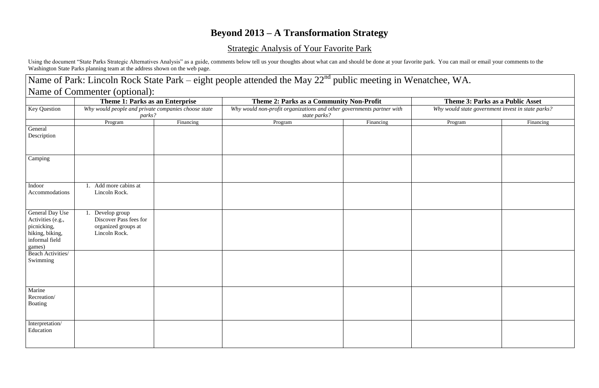## **Beyond 2013 – A Transformation Strategy**

## Strategic Analysis of Your Favorite Park

Using the document "State Parks Strategic Alternatives Analysis" as a guide, comments below tell us your thoughts about what can and should be done at your favorite park. You can mail or email your comments to the Washington State Parks planning team at the address shown on the web page.

|                                                                                                    | Name of Commenter (optional):                                                                    |           |                                                                                                                                   |           |                                                                                       |           |
|----------------------------------------------------------------------------------------------------|--------------------------------------------------------------------------------------------------|-----------|-----------------------------------------------------------------------------------------------------------------------------------|-----------|---------------------------------------------------------------------------------------|-----------|
|                                                                                                    | Theme 1: Parks as an Enterprise                                                                  |           | Theme 2: Parks as a Community Non-Profit<br>Why would non-profit organizations and other governments partner with<br>state parks? |           | Theme 3: Parks as a Public Asset<br>Why would state government invest in state parks? |           |
| Key Question                                                                                       | Why would people and private companies choose state<br>parks?                                    |           |                                                                                                                                   |           |                                                                                       |           |
|                                                                                                    | Program                                                                                          | Financing | Program                                                                                                                           | Financing | Program                                                                               | Financing |
| General<br>Description                                                                             |                                                                                                  |           |                                                                                                                                   |           |                                                                                       |           |
| Camping                                                                                            |                                                                                                  |           |                                                                                                                                   |           |                                                                                       |           |
| Indoor                                                                                             | Add more cabins at                                                                               |           |                                                                                                                                   |           |                                                                                       |           |
| Accommodations                                                                                     | Lincoln Rock.                                                                                    |           |                                                                                                                                   |           |                                                                                       |           |
| General Day Use<br>Activities (e.g.,<br>picnicking,<br>hiking, biking,<br>informal field<br>games) | $\overline{1}$ . Develop group<br>Discover Pass fees for<br>organized groups at<br>Lincoln Rock. |           |                                                                                                                                   |           |                                                                                       |           |
| Beach Activities/<br>Swimming                                                                      |                                                                                                  |           |                                                                                                                                   |           |                                                                                       |           |
| Marine<br>Recreation/<br>Boating                                                                   |                                                                                                  |           |                                                                                                                                   |           |                                                                                       |           |
| Interpretation/<br>Education                                                                       |                                                                                                  |           |                                                                                                                                   |           |                                                                                       |           |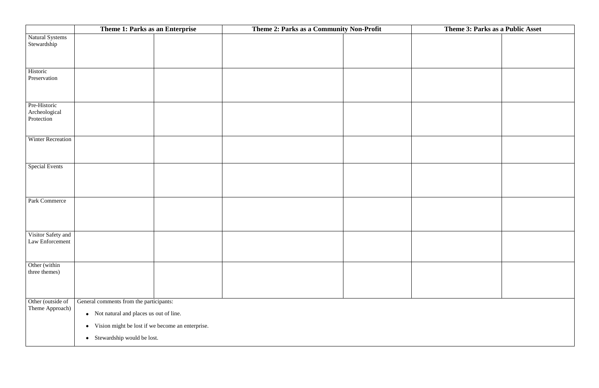|                                             | Theme 1: Parks as an Enterprise                                                                                                                                                                 | Theme 2: Parks as a Community Non-Profit | Theme 3: Parks as a Public Asset |  |
|---------------------------------------------|-------------------------------------------------------------------------------------------------------------------------------------------------------------------------------------------------|------------------------------------------|----------------------------------|--|
| Natural Systems<br>Stewardship              |                                                                                                                                                                                                 |                                          |                                  |  |
| Historic<br>Preservation                    |                                                                                                                                                                                                 |                                          |                                  |  |
| Pre-Historic<br>Archeological<br>Protection |                                                                                                                                                                                                 |                                          |                                  |  |
| <b>Winter Recreation</b>                    |                                                                                                                                                                                                 |                                          |                                  |  |
| <b>Special Events</b>                       |                                                                                                                                                                                                 |                                          |                                  |  |
| Park Commerce                               |                                                                                                                                                                                                 |                                          |                                  |  |
| Visitor Safety and<br>Law Enforcement       |                                                                                                                                                                                                 |                                          |                                  |  |
| Other (within<br>three themes)              |                                                                                                                                                                                                 |                                          |                                  |  |
| Other (outside of<br>Theme Approach)        | General comments from the participants:<br>• Not natural and places us out of line.<br>Vision might be lost if we become an enterprise.<br>$\bullet$<br>Stewardship would be lost.<br>$\bullet$ |                                          |                                  |  |